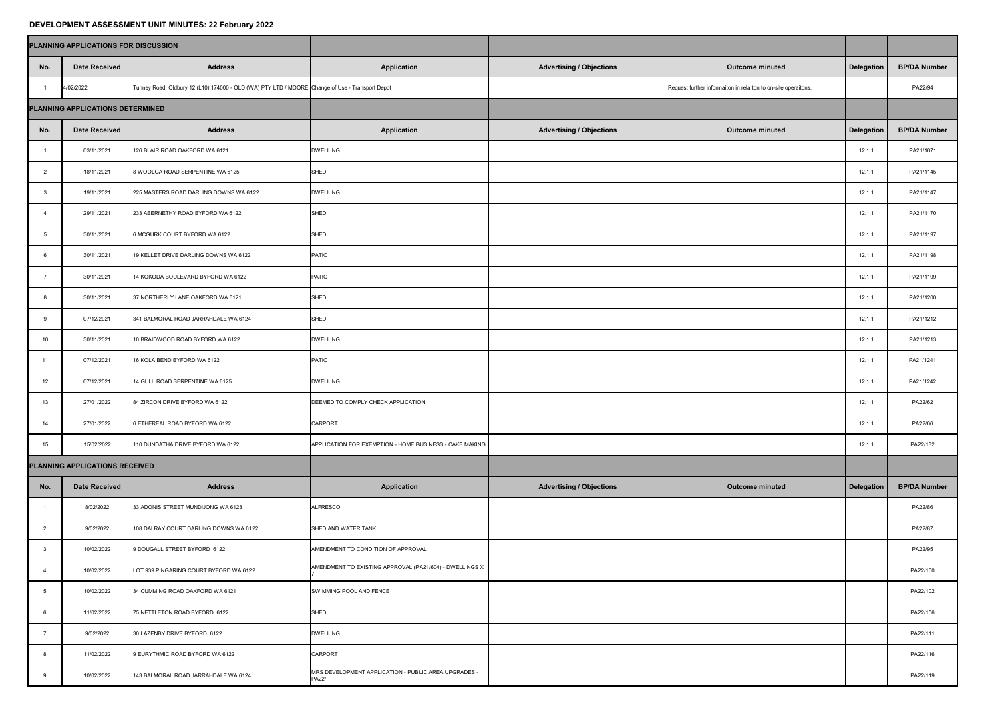## **DEVELOPMENT ASSESSMENT UNIT MINUTES: 22 February 2022**

| PLANNING APPLICATIONS FOR DISCUSSION |                                |                                                                                                 |                                                                      |                                 |                                                                |                   |                     |
|--------------------------------------|--------------------------------|-------------------------------------------------------------------------------------------------|----------------------------------------------------------------------|---------------------------------|----------------------------------------------------------------|-------------------|---------------------|
| No.                                  | <b>Date Received</b>           | <b>Address</b>                                                                                  | <b>Application</b>                                                   | <b>Advertising / Objections</b> | <b>Outcome minuted</b>                                         | Delegation        | <b>BP/DA Number</b> |
|                                      | 4/02/2022                      | Tunney Road, Oldbury 12 (L10) 174000 - OLD (WA) PTY LTD / MOORE Change of Use - Transport Depot |                                                                      |                                 | Request further informaiton in relaiton to on-site operaitons. |                   | PA22/94             |
| PLANNING APPLICATIONS DETERMINED     |                                |                                                                                                 |                                                                      |                                 |                                                                |                   |                     |
| No.                                  | <b>Date Received</b>           | <b>Address</b>                                                                                  | <b>Application</b>                                                   | <b>Advertising / Objections</b> | <b>Outcome minuted</b>                                         | <b>Delegation</b> | <b>BP/DA Number</b> |
|                                      | 03/11/2021                     | 126 BLAIR ROAD OAKFORD WA 6121                                                                  | <b>DWELLING</b>                                                      |                                 |                                                                | 12.1.1            | PA21/1071           |
|                                      | 18/11/2021                     | 8 WOOLGA ROAD SERPENTINE WA 6125                                                                | SHED                                                                 |                                 |                                                                | 12.1.1            | PA21/1145           |
|                                      | 19/11/2021                     | 225 MASTERS ROAD DARLING DOWNS WA 6122                                                          | <b>DWELLING</b>                                                      |                                 |                                                                | 12.1.1            | PA21/1147           |
|                                      | 29/11/2021                     | 233 ABERNETHY ROAD BYFORD WA 6122                                                               | SHED                                                                 |                                 |                                                                | 12.1.1            | PA21/1170           |
|                                      | 30/11/2021                     | 6 MCGURK COURT BYFORD WA 6122                                                                   | SHED                                                                 |                                 |                                                                | 12.1.1            | PA21/1197           |
|                                      | 30/11/2021                     | 19 KELLET DRIVE DARLING DOWNS WA 6122                                                           | <b>PATIO</b>                                                         |                                 |                                                                | 12.1.1            | PA21/1198           |
|                                      | 30/11/2021                     | 14 KOKODA BOULEVARD BYFORD WA 6122                                                              | <b>PATIO</b>                                                         |                                 |                                                                | 12.1.1            | PA21/1199           |
|                                      | 30/11/2021                     | 37 NORTHERLY LANE OAKFORD WA 6121                                                               | SHED                                                                 |                                 |                                                                | 12.1.1            | PA21/1200           |
|                                      | 07/12/2021                     | 341 BALMORAL ROAD JARRAHDALE WA 6124                                                            | SHED                                                                 |                                 |                                                                | 12.1.1            | PA21/1212           |
| 10                                   | 30/11/2021                     | 10 BRAIDWOOD ROAD BYFORD WA 6122                                                                | <b>DWELLING</b>                                                      |                                 |                                                                | 12.1.1            | PA21/1213           |
| 11                                   | 07/12/2021                     | 16 KOLA BEND BYFORD WA 6122                                                                     | <b>PATIO</b>                                                         |                                 |                                                                | 12.1.1            | PA21/1241           |
| 12                                   | 07/12/2021                     | 14 GULL ROAD SERPENTINE WA 6125                                                                 | <b>DWELLING</b>                                                      |                                 |                                                                | 12.1.1            | PA21/1242           |
| 13                                   | 27/01/2022                     | 84 ZIRCON DRIVE BYFORD WA 6122                                                                  | DEEMED TO COMPLY CHECK APPLICATION                                   |                                 |                                                                | 12.1.1            | PA22/62             |
| 14                                   | 27/01/2022                     | 6 ETHEREAL ROAD BYFORD WA 6122                                                                  | <b>CARPORT</b>                                                       |                                 |                                                                | 12.1.1            | PA22/66             |
| 15                                   | 15/02/2022                     | 110 DUNDATHA DRIVE BYFORD WA 6122                                                               | APPLICATION FOR EXEMPTION - HOME BUSINESS - CAKE MAKING              |                                 |                                                                | 12.1.1            | PA22/132            |
|                                      | PLANNING APPLICATIONS RECEIVED |                                                                                                 |                                                                      |                                 |                                                                |                   |                     |
| No.                                  | <b>Date Received</b>           | <b>Address</b>                                                                                  | <b>Application</b>                                                   | <b>Advertising / Objections</b> | <b>Outcome minuted</b>                                         | Delegation        | <b>BP/DA Number</b> |
|                                      | 8/02/2022                      | 33 ADONIS STREET MUNDIJONG WA 6123                                                              | <b>ALFRESCO</b>                                                      |                                 |                                                                |                   | PA22/86             |
|                                      | 9/02/2022                      | 108 DALRAY COURT DARLING DOWNS WA 6122                                                          | SHED AND WATER TANK                                                  |                                 |                                                                |                   | PA22/87             |
|                                      | 10/02/2022                     | 9 DOUGALL STREET BYFORD 6122                                                                    | AMENDMENT TO CONDITION OF APPROVAL                                   |                                 |                                                                |                   | PA22/95             |
|                                      | 10/02/2022                     | LOT 939 PINGARING COURT BYFORD WA 6122                                                          | AMENDMENT TO EXISTING APPROVAL (PA21/604) - DWELLINGS X              |                                 |                                                                |                   | PA22/100            |
|                                      | 10/02/2022                     | 34 CUMMING ROAD OAKFORD WA 6121                                                                 | SWIMMING POOL AND FENCE                                              |                                 |                                                                |                   | PA22/102            |
|                                      | 11/02/2022                     | 75 NETTLETON ROAD BYFORD 6122                                                                   | SHED                                                                 |                                 |                                                                |                   | PA22/106            |
|                                      | 9/02/2022                      | 30 LAZENBY DRIVE BYFORD 6122                                                                    | <b>DWELLING</b>                                                      |                                 |                                                                |                   | PA22/111            |
|                                      | 11/02/2022                     | 9 EURYTHMIC ROAD BYFORD WA 6122                                                                 | <b>CARPORT</b>                                                       |                                 |                                                                |                   | PA22/116            |
|                                      | 10/02/2022                     | 143 BALMORAL ROAD JARRAHDALE WA 6124                                                            | MRS DEVELOPMENT APPLICATION - PUBLIC AREA UPGRADES -<br><b>PA22/</b> |                                 |                                                                |                   | PA22/119            |